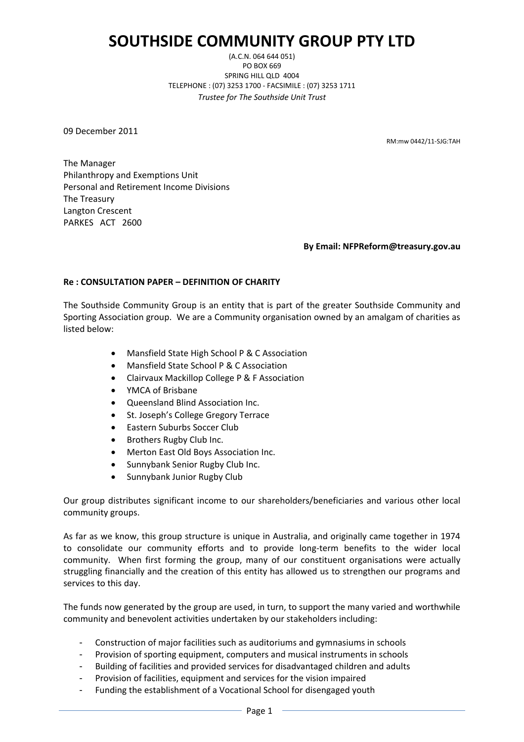# **SOUTHSIDE COMMUNITY GROUP PTY LTD**

(A.C.N. 064 644 051) PO BOX 669 SPRING HILL QLD 4004 TELEPHONE : (07) 3253 1700 - FACSIMILE : (07) 3253 1711 *Trustee for The Southside Unit Trust*

09 December 2011

RM:mw 0442/11-SJG:TAH

The Manager Philanthropy and Exemptions Unit Personal and Retirement Income Divisions The Treasury Langton Crescent PARKES ACT 2600

#### **By Email: NFPReform@treasury.gov.au**

## **Re : CONSULTATION PAPER – DEFINITION OF CHARITY**

The Southside Community Group is an entity that is part of the greater Southside Community and Sporting Association group. We are a Community organisation owned by an amalgam of charities as listed below:

- Mansfield State High School P & C Association
- Mansfield State School P & C Association
- Clairvaux Mackillop College P & F Association
- YMCA of Brisbane
- Queensland Blind Association Inc.
- St. Joseph's College Gregory Terrace
- **•** Eastern Suburbs Soccer Club
- Brothers Rugby Club Inc.
- Merton East Old Boys Association Inc.
- Sunnybank Senior Rugby Club Inc.
- Sunnybank Junior Rugby Club

Our group distributes significant income to our shareholders/beneficiaries and various other local community groups.

As far as we know, this group structure is unique in Australia, and originally came together in 1974 to consolidate our community efforts and to provide long-term benefits to the wider local community. When first forming the group, many of our constituent organisations were actually struggling financially and the creation of this entity has allowed us to strengthen our programs and services to this day.

The funds now generated by the group are used, in turn, to support the many varied and worthwhile community and benevolent activities undertaken by our stakeholders including:

- Construction of major facilities such as auditoriums and gymnasiums in schools
- Provision of sporting equipment, computers and musical instruments in schools
- Building of facilities and provided services for disadvantaged children and adults
- Provision of facilities, equipment and services for the vision impaired
- Funding the establishment of a Vocational School for disengaged youth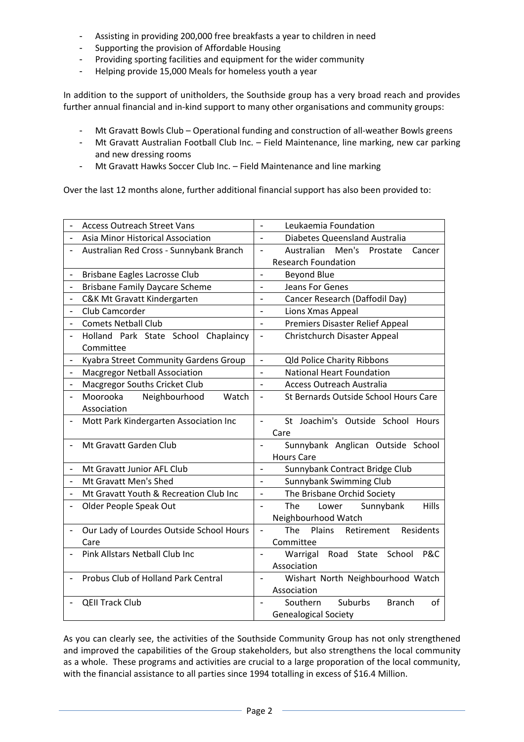- Assisting in providing 200,000 free breakfasts a year to children in need
- Supporting the provision of Affordable Housing
- Providing sporting facilities and equipment for the wider community
- Helping provide 15,000 Meals for homeless youth a year

In addition to the support of unitholders, the Southside group has a very broad reach and provides further annual financial and in-kind support to many other organisations and community groups:

- Mt Gravatt Bowls Club Operational funding and construction of all-weather Bowls greens
- Mt Gravatt Australian Football Club Inc. Field Maintenance, line marking, new car parking and new dressing rooms
- Mt Gravatt Hawks Soccer Club Inc. Field Maintenance and line marking

Over the last 12 months alone, further additional financial support has also been provided to:

| <b>Access Outreach Street Vans</b>                                    | Leukaemia Foundation                                                   |
|-----------------------------------------------------------------------|------------------------------------------------------------------------|
| Asia Minor Historical Association<br>$\overline{\phantom{a}}$         | Diabetes Queensland Australia<br>$\overline{a}$                        |
| Australian Red Cross - Sunnybank Branch                               | Australian Men's Prostate<br>$\overline{\phantom{0}}$<br>Cancer        |
|                                                                       | <b>Research Foundation</b>                                             |
| Brisbane Eagles Lacrosse Club                                         | <b>Beyond Blue</b><br>$\overline{\phantom{0}}$                         |
| <b>Brisbane Family Daycare Scheme</b><br>$\qquad \qquad \blacksquare$ | Jeans For Genes<br>$\overline{\phantom{a}}$                            |
| C&K Mt Gravatt Kindergarten<br>$\overline{\phantom{0}}$               | Cancer Research (Daffodil Day)<br>$\overline{a}$                       |
| Club Camcorder                                                        | Lions Xmas Appeal<br>$\overline{a}$                                    |
| <b>Comets Netball Club</b><br>$\overline{\phantom{0}}$                | <b>Premiers Disaster Relief Appeal</b><br>$\overline{\phantom{0}}$     |
| Holland Park State School Chaplaincy                                  | Christchurch Disaster Appeal<br>$\qquad \qquad \blacksquare$           |
| Committee                                                             |                                                                        |
| Kyabra Street Community Gardens Group                                 | <b>Qld Police Charity Ribbons</b><br>$\overline{\phantom{0}}$          |
| <b>Macgregor Netball Association</b><br>$\overline{\phantom{a}}$      | <b>National Heart Foundation</b><br>$\overline{\phantom{0}}$           |
| Macgregor Souths Cricket Club<br>$\qquad \qquad \blacksquare$         | <b>Access Outreach Australia</b><br>$\overline{a}$                     |
| Moorooka<br>Neighbourhood<br>Watch                                    | St Bernards Outside School Hours Care<br>$\overline{\phantom{0}}$      |
| Association                                                           |                                                                        |
| Mott Park Kindergarten Association Inc                                | St Joachim's Outside School Hours<br>$\overline{\phantom{a}}$          |
|                                                                       | Care                                                                   |
| Mt Gravatt Garden Club                                                | Sunnybank Anglican Outside School<br>$\overline{\phantom{a}}$          |
|                                                                       | <b>Hours Care</b>                                                      |
| Mt Gravatt Junior AFL Club<br>$\overline{\phantom{a}}$                | Sunnybank Contract Bridge Club<br>$\overline{\phantom{0}}$             |
| Mt Gravatt Men's Shed<br>$\frac{1}{2}$                                | Sunnybank Swimming Club<br>$\overline{a}$                              |
| Mt Gravatt Youth & Recreation Club Inc                                | The Brisbane Orchid Society<br>$\overline{\phantom{0}}$                |
| Older People Speak Out                                                | <b>The</b><br>Lower<br>Sunnybank<br>Hills<br>$\overline{a}$            |
|                                                                       | Neighbourhood Watch                                                    |
| Our Lady of Lourdes Outside School Hours                              | The<br>Plains<br>Retirement<br>Residents<br>$\overline{\phantom{0}}$   |
| Care                                                                  | Committee                                                              |
| Pink Allstars Netball Club Inc                                        | P&C<br>Warrigal Road State<br>School<br>$\overline{\phantom{a}}$       |
|                                                                       | Association                                                            |
| Probus Club of Holland Park Central                                   | Wishart North Neighbourhood Watch                                      |
|                                                                       | Association                                                            |
| <b>QEII Track Club</b>                                                | Southern<br>Suburbs<br><b>Branch</b><br>of<br>$\overline{\phantom{a}}$ |
|                                                                       | <b>Genealogical Society</b>                                            |

As you can clearly see, the activities of the Southside Community Group has not only strengthened and improved the capabilities of the Group stakeholders, but also strengthens the local community as a whole. These programs and activities are crucial to a large proporation of the local community, with the financial assistance to all parties since 1994 totalling in excess of \$16.4 Million.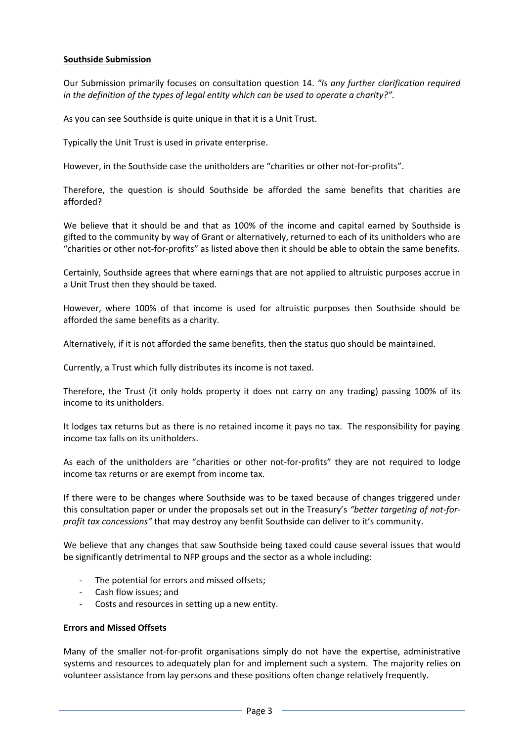## **Southside Submission**

Our Submission primarily focuses on consultation question 14. *"Is any further clarification required in the definition of the types of legal entity which can be used to operate a charity?".*

As you can see Southside is quite unique in that it is a Unit Trust.

Typically the Unit Trust is used in private enterprise.

However, in the Southside case the unitholders are "charities or other not-for-profits".

Therefore, the question is should Southside be afforded the same benefits that charities are afforded?

We believe that it should be and that as 100% of the income and capital earned by Southside is gifted to the community by way of Grant or alternatively, returned to each of its unitholders who are "charities or other not-for-profits" as listed above then it should be able to obtain the same benefits.

Certainly, Southside agrees that where earnings that are not applied to altruistic purposes accrue in a Unit Trust then they should be taxed.

However, where 100% of that income is used for altruistic purposes then Southside should be afforded the same benefits as a charity.

Alternatively, if it is not afforded the same benefits, then the status quo should be maintained.

Currently, a Trust which fully distributes its income is not taxed.

Therefore, the Trust (it only holds property it does not carry on any trading) passing 100% of its income to its unitholders.

It lodges tax returns but as there is no retained income it pays no tax. The responsibility for paying income tax falls on its unitholders.

As each of the unitholders are "charities or other not-for-profits" they are not required to lodge income tax returns or are exempt from income tax.

If there were to be changes where Southside was to be taxed because of changes triggered under this consultation paper or under the proposals set out in the Treasury's *"better targeting of not-forprofit tax concessions"* that may destroy any benfit Southside can deliver to it's community.

We believe that any changes that saw Southside being taxed could cause several issues that would be significantly detrimental to NFP groups and the sector as a whole including:

- The potential for errors and missed offsets;
- Cash flow issues; and
- Costs and resources in setting up a new entity.

#### **Errors and Missed Offsets**

Many of the smaller not-for-profit organisations simply do not have the expertise, administrative systems and resources to adequately plan for and implement such a system. The majority relies on volunteer assistance from lay persons and these positions often change relatively frequently.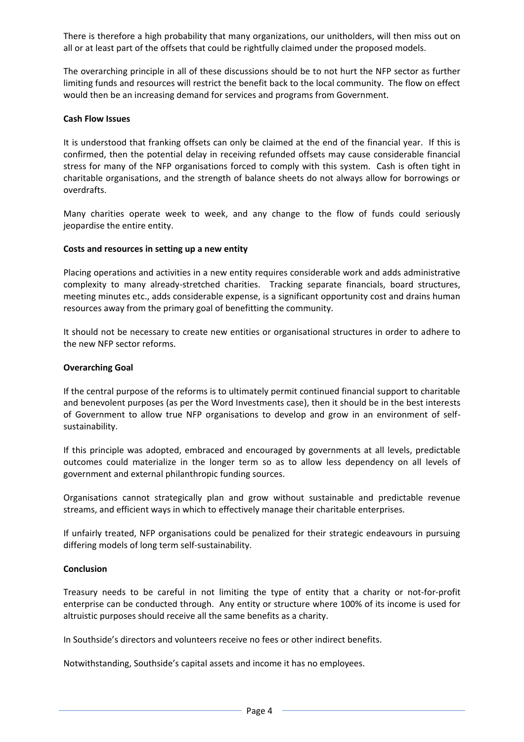There is therefore a high probability that many organizations, our unitholders, will then miss out on all or at least part of the offsets that could be rightfully claimed under the proposed models.

The overarching principle in all of these discussions should be to not hurt the NFP sector as further limiting funds and resources will restrict the benefit back to the local community. The flow on effect would then be an increasing demand for services and programs from Government.

#### **Cash Flow Issues**

It is understood that franking offsets can only be claimed at the end of the financial year. If this is confirmed, then the potential delay in receiving refunded offsets may cause considerable financial stress for many of the NFP organisations forced to comply with this system. Cash is often tight in charitable organisations, and the strength of balance sheets do not always allow for borrowings or overdrafts.

Many charities operate week to week, and any change to the flow of funds could seriously jeopardise the entire entity.

## **Costs and resources in setting up a new entity**

Placing operations and activities in a new entity requires considerable work and adds administrative complexity to many already-stretched charities. Tracking separate financials, board structures, meeting minutes etc., adds considerable expense, is a significant opportunity cost and drains human resources away from the primary goal of benefitting the community.

It should not be necessary to create new entities or organisational structures in order to adhere to the new NFP sector reforms.

## **Overarching Goal**

If the central purpose of the reforms is to ultimately permit continued financial support to charitable and benevolent purposes (as per the Word Investments case), then it should be in the best interests of Government to allow true NFP organisations to develop and grow in an environment of selfsustainability.

If this principle was adopted, embraced and encouraged by governments at all levels, predictable outcomes could materialize in the longer term so as to allow less dependency on all levels of government and external philanthropic funding sources.

Organisations cannot strategically plan and grow without sustainable and predictable revenue streams, and efficient ways in which to effectively manage their charitable enterprises.

If unfairly treated, NFP organisations could be penalized for their strategic endeavours in pursuing differing models of long term self-sustainability.

#### **Conclusion**

Treasury needs to be careful in not limiting the type of entity that a charity or not-for-profit enterprise can be conducted through. Any entity or structure where 100% of its income is used for altruistic purposes should receive all the same benefits as a charity.

In Southside's directors and volunteers receive no fees or other indirect benefits.

Notwithstanding, Southside's capital assets and income it has no employees.